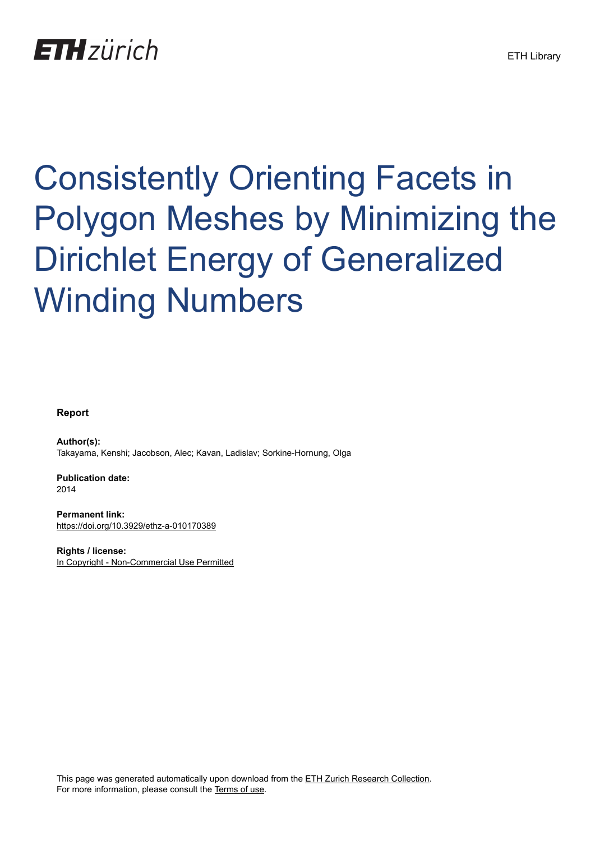## **ETH** zürich

# Consistently Orienting Facets in Polygon Meshes by Minimizing the Dirichlet Energy of Generalized Winding Numbers

#### **Report**

**Author(s):** Takayama, Kenshi; Jacobson, Alec; Kavan, Ladislav; Sorkine-Hornung, Olga

**Publication date:** 2014

**Permanent link:** <https://doi.org/10.3929/ethz-a-010170389>

**Rights / license:** [In Copyright - Non-Commercial Use Permitted](http://rightsstatements.org/page/InC-NC/1.0/)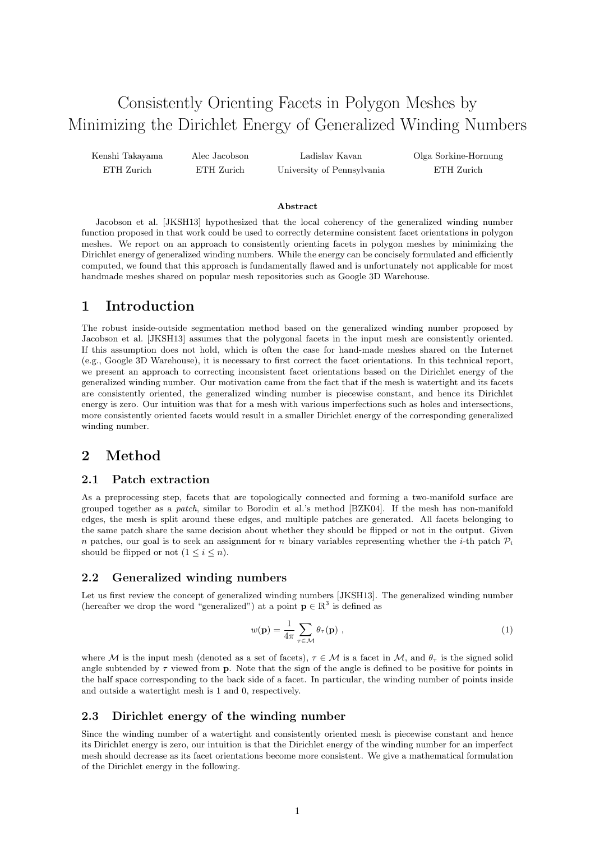### Consistently Orienting Facets in Polygon Meshes by Minimizing the Dirichlet Energy of Generalized Winding Numbers

Kenshi Takayama ETH Zurich

Alec Jacobson ETH Zurich

Ladislav Kavan University of Pennsylvania Olga Sorkine-Hornung ETH Zurich

#### Abstract

Jacobson et al. [JKSH13] hypothesized that the local coherency of the generalized winding number function proposed in that work could be used to correctly determine consistent facet orientations in polygon meshes. We report on an approach to consistently orienting facets in polygon meshes by minimizing the Dirichlet energy of generalized winding numbers. While the energy can be concisely formulated and efficiently computed, we found that this approach is fundamentally flawed and is unfortunately not applicable for most handmade meshes shared on popular mesh repositories such as Google 3D Warehouse.

#### 1 Introduction

The robust inside-outside segmentation method based on the generalized winding number proposed by Jacobson et al. [JKSH13] assumes that the polygonal facets in the input mesh are consistently oriented. If this assumption does not hold, which is often the case for hand-made meshes shared on the Internet (e.g., Google 3D Warehouse), it is necessary to first correct the facet orientations. In this technical report, we present an approach to correcting inconsistent facet orientations based on the Dirichlet energy of the generalized winding number. Our motivation came from the fact that if the mesh is watertight and its facets are consistently oriented, the generalized winding number is piecewise constant, and hence its Dirichlet energy is zero. Our intuition was that for a mesh with various imperfections such as holes and intersections, more consistently oriented facets would result in a smaller Dirichlet energy of the corresponding generalized winding number.

#### 2 Method

#### 2.1 Patch extraction

As a preprocessing step, facets that are topologically connected and forming a two-manifold surface are grouped together as a patch, similar to Borodin et al.'s method [BZK04]. If the mesh has non-manifold edges, the mesh is split around these edges, and multiple patches are generated. All facets belonging to the same patch share the same decision about whether they should be flipped or not in the output. Given n patches, our goal is to seek an assignment for n binary variables representing whether the *i*-th patch  $\mathcal{P}_i$ should be flipped or not  $(1 \leq i \leq n)$ .

#### 2.2 Generalized winding numbers

Let us first review the concept of generalized winding numbers [JKSH13]. The generalized winding number (hereafter we drop the word "generalized") at a point  $\mathbf{p} \in \mathbb{R}^3$  is defined as

$$
w(\mathbf{p}) = \frac{1}{4\pi} \sum_{\tau \in \mathcal{M}} \theta_{\tau}(\mathbf{p}) \tag{1}
$$

where M is the input mesh (denoted as a set of facets),  $\tau \in M$  is a facet in M, and  $\theta_{\tau}$  is the signed solid angle subtended by  $\tau$  viewed from **p**. Note that the sign of the angle is defined to be positive for points in the half space corresponding to the back side of a facet. In particular, the winding number of points inside and outside a watertight mesh is 1 and 0, respectively.

#### 2.3 Dirichlet energy of the winding number

Since the winding number of a watertight and consistently oriented mesh is piecewise constant and hence its Dirichlet energy is zero, our intuition is that the Dirichlet energy of the winding number for an imperfect mesh should decrease as its facet orientations become more consistent. We give a mathematical formulation of the Dirichlet energy in the following.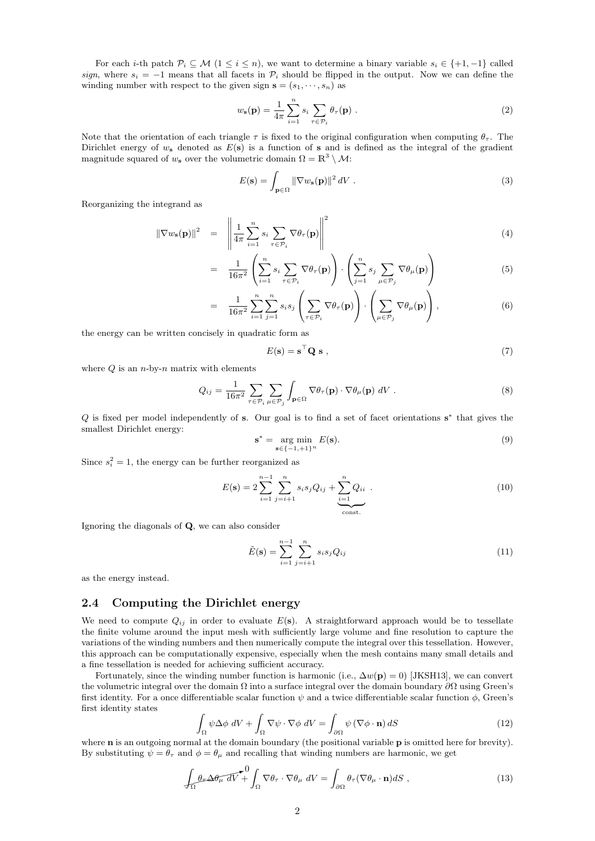For each *i*-th patch  $\mathcal{P}_i \subseteq \mathcal{M}$  (1 ≤ *i* ≤ *n*), we want to determine a binary variable  $s_i \in \{+1, -1\}$  called sign, where  $s_i = -1$  means that all facets in  $\mathcal{P}_i$  should be flipped in the output. Now we can define the winding number with respect to the given sign  $\mathbf{s} = (s_1, \dots, s_n)$  as

$$
w_{s}(\mathbf{p}) = \frac{1}{4\pi} \sum_{i=1}^{n} s_{i} \sum_{\tau \in \mathcal{P}_{i}} \theta_{\tau}(\mathbf{p}) .
$$
 (2)

Note that the orientation of each triangle  $\tau$  is fixed to the original configuration when computing  $\theta_{\tau}$ . The Dirichlet energy of  $w_s$  denoted as  $E(s)$  is a function of s and is defined as the integral of the gradient magnitude squared of  $w_s$  over the volumetric domain  $\Omega = \mathbb{R}^3 \setminus \mathcal{M}$ :

$$
E(\mathbf{s}) = \int_{\mathbf{p} \in \Omega} \left\| \nabla w_{\mathbf{s}}(\mathbf{p}) \right\|^2 dV \tag{3}
$$

Reorganizing the integrand as

$$
\|\nabla w_{\mathbf{s}}(\mathbf{p})\|^2 = \left\|\frac{1}{4\pi}\sum_{i=1}^n s_i \sum_{\tau \in \mathcal{P}_i} \nabla \theta_\tau(\mathbf{p})\right\|^2 \tag{4}
$$

$$
= \frac{1}{16\pi^2} \left( \sum_{i=1}^n s_i \sum_{\tau \in \mathcal{P}_i} \nabla \theta_\tau(\mathbf{p}) \right) \cdot \left( \sum_{j=1}^n s_j \sum_{\mu \in \mathcal{P}_j} \nabla \theta_\mu(\mathbf{p}) \right) \tag{5}
$$

$$
= \frac{1}{16\pi^2} \sum_{i=1}^n \sum_{j=1}^n s_i s_j \left( \sum_{\tau \in \mathcal{P}_i} \nabla \theta_\tau(\mathbf{p}) \right) \cdot \left( \sum_{\mu \in \mathcal{P}_j} \nabla \theta_\mu(\mathbf{p}) \right), \tag{6}
$$

the energy can be written concisely in quadratic form as

$$
E(\mathbf{s}) = \mathbf{s}^\top \mathbf{Q} \mathbf{s} \tag{7}
$$

where  $Q$  is an  $n$ -by- $n$  matrix with elements

$$
Q_{ij} = \frac{1}{16\pi^2} \sum_{\tau \in \mathcal{P}_i} \sum_{\mu \in \mathcal{P}_j} \int_{\mathbf{p} \in \Omega} \nabla \theta_{\tau}(\mathbf{p}) \cdot \nabla \theta_{\mu}(\mathbf{p}) \, dV \,. \tag{8}
$$

Q is fixed per model independently of s. Our goal is to find a set of facet orientations  $s^*$  that gives the smallest Dirichlet energy:

$$
\mathbf{s}^* = \underset{\mathbf{s} \in \{-1, +1\}^n}{\text{arg min}} E(\mathbf{s}).\tag{9}
$$

Since  $s_i^2 = 1$ , the energy can be further reorganized as

$$
E(\mathbf{s}) = 2\sum_{i=1}^{n-1} \sum_{j=i+1}^{n} s_i s_j Q_{ij} + \underbrace{\sum_{i=1}^{n} Q_{ii}}_{\text{const.}}.
$$
 (10)

Ignoring the diagonals of Q, we can also consider

$$
\tilde{E}(\mathbf{s}) = \sum_{i=1}^{n-1} \sum_{j=i+1}^{n} s_i s_j Q_{ij} \tag{11}
$$

as the energy instead.

#### 2.4 Computing the Dirichlet energy

We need to compute  $Q_{ij}$  in order to evaluate  $E(\mathbf{s})$ . A straightforward approach would be to tessellate the finite volume around the input mesh with sufficiently large volume and fine resolution to capture the variations of the winding numbers and then numerically compute the integral over this tessellation. However, this approach can be computationally expensive, especially when the mesh contains many small details and a fine tessellation is needed for achieving sufficient accuracy.

Fortunately, since the winding number function is harmonic (i.e.,  $\Delta w(\mathbf{p}) = 0$ ) [JKSH13], we can convert the volumetric integral over the domain  $\Omega$  into a surface integral over the domain boundary  $\partial\Omega$  using Green's first identity. For a once differentiable scalar function  $\psi$  and a twice differentiable scalar function  $\phi$ , Green's first identity states

$$
\int_{\Omega} \psi \Delta \phi \, dV + \int_{\Omega} \nabla \psi \cdot \nabla \phi \, dV = \int_{\partial \Omega} \psi (\nabla \phi \cdot \mathbf{n}) \, dS \tag{12}
$$

where **n** is an outgoing normal at the domain boundary (the positional variable **p** is omitted here for brevity). By substituting  $\psi = \theta_{\tau}$  and  $\phi = \theta_{\mu}$  and recalling that winding numbers are harmonic, we get

$$
\int_{\Omega} \theta_{\tau} \Delta \theta_{\mu} dV + \int_{\Omega} \nabla \theta_{\tau} \cdot \nabla \theta_{\mu} dV = \int_{\partial \Omega} \theta_{\tau} (\nabla \theta_{\mu} \cdot \mathbf{n}) dS , \qquad (13)
$$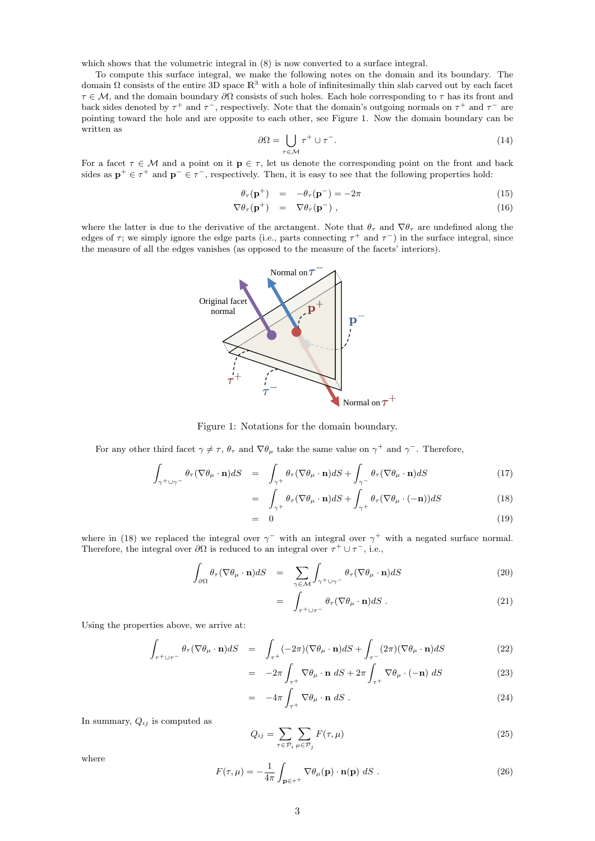which shows that the volumetric integral in  $(8)$  is now converted to a surface integral.

To compute this surface integral, we make the following notes on the domain and its boundary. The domain  $\Omega$  consists of the entire 3D space  $\mathbb{R}^3$  with a hole of infinitesimally thin slab carved out by each facet  $\tau \in \mathcal{M}$ , and the domain boundary  $\partial \Omega$  consists of such holes. Each hole corresponding to  $\tau$  has its front and back sides denoted by  $\tau^+$  and  $\tau^-$ , respectively. Note that the domain's outgoing normals on  $\tau^+$  and  $\tau^-$  are pointing toward the hole and are opposite to each other, see Figure 1. Now the domain boundary can be written as

$$
\partial \Omega = \bigcup_{\tau \in \mathcal{M}} \tau^+ \cup \tau^-.
$$
 (14)

For a facet  $\tau \in \mathcal{M}$  and a point on it  $\mathbf{p} \in \tau$ , let us denote the corresponding point on the front and back sides as  $p^+ \in \tau^+$  and  $p^- \in \tau^-$ , respectively. Then, it is easy to see that the following properties hold:

$$
\theta_{\tau}(\mathbf{p}^+) = -\theta_{\tau}(\mathbf{p}^-) = -2\pi \tag{15}
$$

$$
\nabla \theta_{\tau}(\mathbf{p}^+) = \nabla \theta_{\tau}(\mathbf{p}^-), \qquad (16)
$$

where the latter is due to the derivative of the arctangent. Note that  $\theta_{\tau}$  and  $\nabla \theta_{\tau}$  are undefined along the edges of  $\tau$ ; we simply ignore the edge parts (i.e., parts connecting  $\tau^+$  and  $\tau^-$ ) in the surface integral, since the measure of all the edges vanishes (as opposed to the measure of the facets' interiors).



Figure 1: Notations for the domain boundary.

For any other third facet  $\gamma \neq \tau$ ,  $\theta_{\tau}$  and  $\nabla \theta_{\mu}$  take the same value on  $\gamma^{+}$  and  $\gamma^{-}$ . Therefore,

$$
\int_{\gamma^+ \cup \gamma^-} \theta_\tau (\nabla \theta_\mu \cdot \mathbf{n}) dS = \int_{\gamma^+} \theta_\tau (\nabla \theta_\mu \cdot \mathbf{n}) dS + \int_{\gamma^-} \theta_\tau (\nabla \theta_\mu \cdot \mathbf{n}) dS \tag{17}
$$

$$
= \int_{\gamma^+} \theta_\tau (\nabla \theta_\mu \cdot \mathbf{n}) dS + \int_{\gamma^+} \theta_\tau (\nabla \theta_\mu \cdot (-\mathbf{n})) dS \tag{18}
$$

$$
= 0 \tag{19}
$$

where in (18) we replaced the integral over  $\gamma^-$  with an integral over  $\gamma^+$  with a negated surface normal. Therefore, the integral over  $\partial\Omega$  is reduced to an integral over  $\tau^+ \cup \tau^-$ , i.e.,

$$
\int_{\partial\Omega} \theta_{\tau} (\nabla \theta_{\mu} \cdot \mathbf{n}) dS = \sum_{\gamma \in \mathcal{M}} \int_{\gamma^+ \cup \gamma^-} \theta_{\tau} (\nabla \theta_{\mu} \cdot \mathbf{n}) dS \tag{20}
$$

$$
= \int_{\tau^+ \cup \tau^-} \theta_\tau (\nabla \theta_\mu \cdot \mathbf{n}) dS \ . \tag{21}
$$

Using the properties above, we arrive at:

$$
\int_{\tau^+ \cup \tau^-} \theta_\tau (\nabla \theta_\mu \cdot \mathbf{n}) dS = \int_{\tau^+} (-2\pi) (\nabla \theta_\mu \cdot \mathbf{n}) dS + \int_{\tau^-} (2\pi) (\nabla \theta_\mu \cdot \mathbf{n}) dS \tag{22}
$$

$$
= -2\pi \int_{\tau^+} \nabla \theta_\mu \cdot \mathbf{n} \, dS + 2\pi \int_{\tau^+} \nabla \theta_\mu \cdot (-\mathbf{n}) \, dS \tag{23}
$$

$$
= -4\pi \int_{\tau^+} \nabla \theta_\mu \cdot \mathbf{n} \, dS \,. \tag{24}
$$

In summary,  $Q_{ij}$  is computed as

$$
Q_{ij} = \sum_{\tau \in \mathcal{P}_i} \sum_{\mu \in \mathcal{P}_j} F(\tau, \mu)
$$
\n(25)

where

$$
F(\tau,\mu) = -\frac{1}{4\pi} \int_{\mathbf{p}\in\tau^{+}} \nabla \theta_{\mu}(\mathbf{p}) \cdot \mathbf{n}(\mathbf{p}) \, dS \,. \tag{26}
$$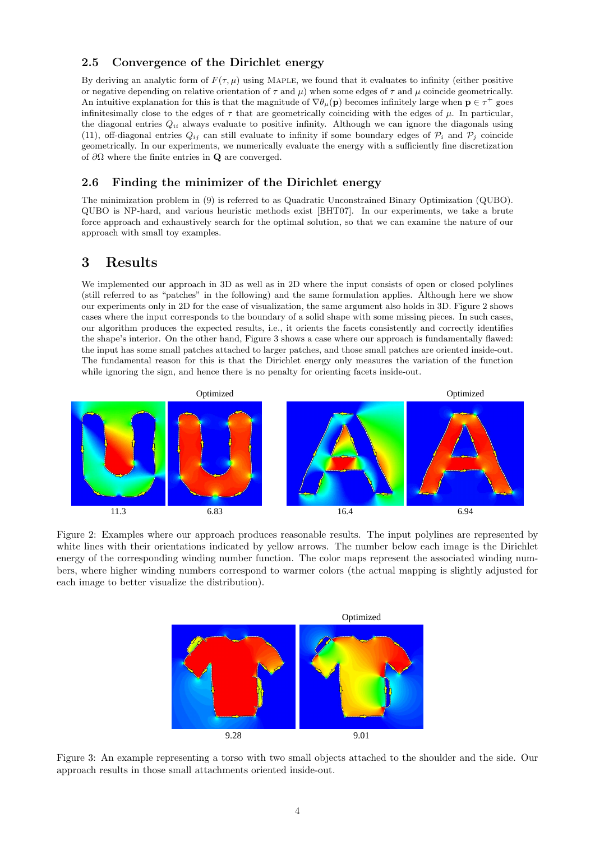#### 2.5 Convergence of the Dirichlet energy

By deriving an analytic form of  $F(\tau, \mu)$  using MAPLE, we found that it evaluates to infinity (either positive or negative depending on relative orientation of  $\tau$  and  $\mu$ ) when some edges of  $\tau$  and  $\mu$  coincide geometrically. An intuitive explanation for this is that the magnitude of  $\nabla \theta_\mu(\mathbf{p})$  becomes infinitely large when  $\mathbf{p} \in \tau^+$  goes infinitesimally close to the edges of  $\tau$  that are geometrically coinciding with the edges of  $\mu$ . In particular, the diagonal entries  $Q_{ii}$  always evaluate to positive infinity. Although we can ignore the diagonals using (11), off-diagonal entries  $Q_{ij}$  can still evaluate to infinity if some boundary edges of  $\mathcal{P}_i$  and  $\mathcal{P}_j$  coincide geometrically. In our experiments, we numerically evaluate the energy with a sufficiently fine discretization of  $\partial\Omega$  where the finite entries in **Q** are converged.

#### 2.6 Finding the minimizer of the Dirichlet energy

The minimization problem in (9) is referred to as Quadratic Unconstrained Binary Optimization (QUBO). QUBO is NP-hard, and various heuristic methods exist [BHT07]. In our experiments, we take a brute force approach and exhaustively search for the optimal solution, so that we can examine the nature of our approach with small toy examples.

#### 3 Results

We implemented our approach in 3D as well as in 2D where the input consists of open or closed polylines (still referred to as "patches" in the following) and the same formulation applies. Although here we show our experiments only in 2D for the ease of visualization, the same argument also holds in 3D. Figure 2 shows cases where the input corresponds to the boundary of a solid shape with some missing pieces. In such cases, our algorithm produces the expected results, i.e., it orients the facets consistently and correctly identifies the shape's interior. On the other hand, Figure 3 shows a case where our approach is fundamentally flawed: the input has some small patches attached to larger patches, and those small patches are oriented inside-out. The fundamental reason for this is that the Dirichlet energy only measures the variation of the function while ignoring the sign, and hence there is no penalty for orienting facets inside-out.



Figure 2: Examples where our approach produces reasonable results. The input polylines are represented by white lines with their orientations indicated by yellow arrows. The number below each image is the Dirichlet energy of the corresponding winding number function. The color maps represent the associated winding numbers, where higher winding numbers correspond to warmer colors (the actual mapping is slightly adjusted for each image to better visualize the distribution).



Figure 3: An example representing a torso with two small objects attached to the shoulder and the side. Our approach results in those small attachments oriented inside-out.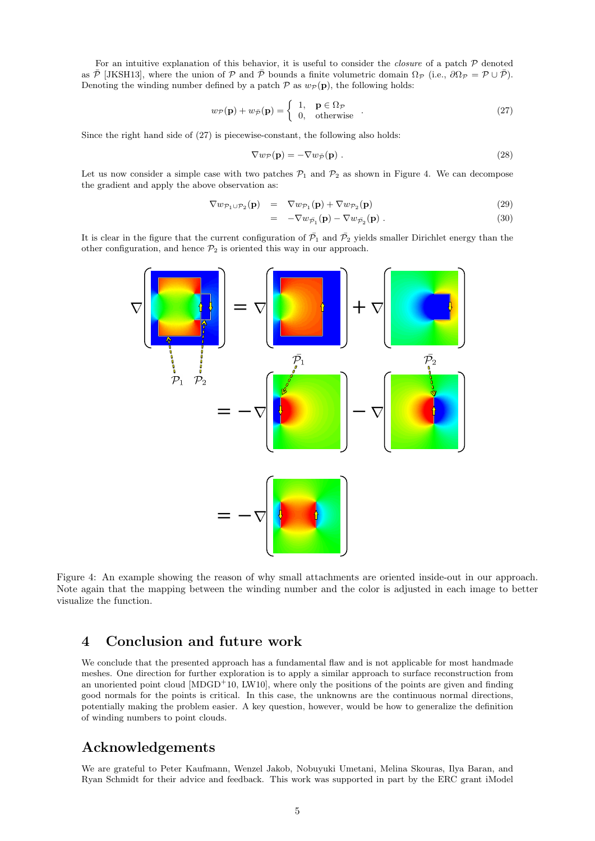For an intuitive explanation of this behavior, it is useful to consider the *closure* of a patch  $P$  denoted as  $\overline{P}$  [JKSH13], where the union of P and  $\overline{P}$  bounds a finite volumetric domain  $\Omega_{\mathcal{P}}$  (i.e.,  $\partial \Omega_{\mathcal{P}} = \mathcal{P} \cup \overline{\mathcal{P}}$ ). Denoting the winding number defined by a patch  $P$  as  $w_P(\mathbf{p})$ , the following holds:

$$
w_{\mathcal{P}}(\mathbf{p}) + w_{\bar{\mathcal{P}}}(\mathbf{p}) = \begin{cases} 1, & \mathbf{p} \in \Omega_{\mathcal{P}} \\ 0, & \text{otherwise} \end{cases} . \tag{27}
$$

Since the right hand side of (27) is piecewise-constant, the following also holds:

$$
\nabla w_{\mathcal{P}}(\mathbf{p}) = -\nabla w_{\bar{\mathcal{P}}}(\mathbf{p}) . \tag{28}
$$

Let us now consider a simple case with two patches  $P_1$  and  $P_2$  as shown in Figure 4. We can decompose the gradient and apply the above observation as:

$$
\nabla w_{\mathcal{P}_1 \cup \mathcal{P}_2}(\mathbf{p}) = \nabla w_{\mathcal{P}_1}(\mathbf{p}) + \nabla w_{\mathcal{P}_2}(\mathbf{p}) \tag{29}
$$

$$
= -\nabla w_{\bar{\mathcal{P}}_1}(\mathbf{p}) - \nabla w_{\bar{\mathcal{P}}_2}(\mathbf{p}) . \qquad (30)
$$

It is clear in the figure that the current configuration of  $\bar{\mathcal{P}}_1$  and  $\bar{\mathcal{P}}_2$  yields smaller Dirichlet energy than the other configuration, and hence  $\mathcal{P}_2$  is oriented this way in our approach.



Figure 4: An example showing the reason of why small attachments are oriented inside-out in our approach. Note again that the mapping between the winding number and the color is adjusted in each image to better visualize the function.

#### 4 Conclusion and future work

We conclude that the presented approach has a fundamental flaw and is not applicable for most handmade meshes. One direction for further exploration is to apply a similar approach to surface reconstruction from an unoriented point cloud  $[MDGD<sup>+</sup>10, LW10]$ , where only the positions of the points are given and finding good normals for the points is critical. In this case, the unknowns are the continuous normal directions, potentially making the problem easier. A key question, however, would be how to generalize the definition of winding numbers to point clouds.

#### Acknowledgements

We are grateful to Peter Kaufmann, Wenzel Jakob, Nobuyuki Umetani, Melina Skouras, Ilya Baran, and Ryan Schmidt for their advice and feedback. This work was supported in part by the ERC grant iModel